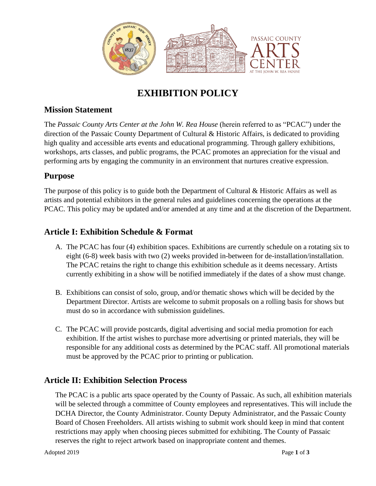

# **EXHIBITION POLICY**

#### **Mission Statement**

The *Passaic County Arts Center at the John W. Rea House* (herein referred to as "PCAC") under the direction of the Passaic County Department of Cultural & Historic Affairs, is dedicated to providing high quality and accessible arts events and educational programming. Through gallery exhibitions, workshops, arts classes, and public programs, the PCAC promotes an appreciation for the visual and performing arts by engaging the community in an environment that nurtures creative expression.

#### **Purpose**

The purpose of this policy is to guide both the Department of Cultural & Historic Affairs as well as artists and potential exhibitors in the general rules and guidelines concerning the operations at the PCAC. This policy may be updated and/or amended at any time and at the discretion of the Department.

#### **Article I: Exhibition Schedule & Format**

- A. The PCAC has four (4) exhibition spaces. Exhibitions are currently schedule on a rotating six to eight (6-8) week basis with two (2) weeks provided in-between for de-installation/installation. The PCAC retains the right to change this exhibition schedule as it deems necessary. Artists currently exhibiting in a show will be notified immediately if the dates of a show must change.
- B. Exhibitions can consist of solo, group, and/or thematic shows which will be decided by the Department Director. Artists are welcome to submit proposals on a rolling basis for shows but must do so in accordance with submission guidelines.
- C. The PCAC will provide postcards, digital advertising and social media promotion for each exhibition. If the artist wishes to purchase more advertising or printed materials, they will be responsible for any additional costs as determined by the PCAC staff. All promotional materials must be approved by the PCAC prior to printing or publication.

#### **Article II: Exhibition Selection Process**

The PCAC is a public arts space operated by the County of Passaic. As such, all exhibition materials will be selected through a committee of County employees and representatives. This will include the DCHA Director, the County Administrator. County Deputy Administrator, and the Passaic County Board of Chosen Freeholders. All artists wishing to submit work should keep in mind that content restrictions may apply when choosing pieces submitted for exhibiting. The County of Passaic reserves the right to reject artwork based on inappropriate content and themes.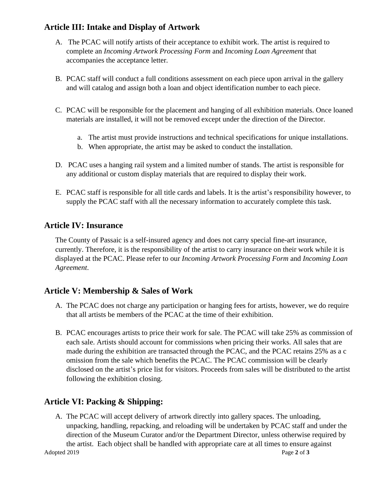## **Article III: Intake and Display of Artwork**

- A. The PCAC will notify artists of their acceptance to exhibit work. The artist is required to complete an *Incoming Artwork Processing Form* and *Incoming Loan Agreement* that accompanies the acceptance letter.
- B. PCAC staff will conduct a full conditions assessment on each piece upon arrival in the gallery and will catalog and assign both a loan and object identification number to each piece.
- C. PCAC will be responsible for the placement and hanging of all exhibition materials. Once loaned materials are installed, it will not be removed except under the direction of the Director.
	- a. The artist must provide instructions and technical specifications for unique installations.
	- b. When appropriate, the artist may be asked to conduct the installation.
- D. PCAC uses a hanging rail system and a limited number of stands. The artist is responsible for any additional or custom display materials that are required to display their work.
- E. PCAC staff is responsible for all title cards and labels. It is the artist's responsibility however, to supply the PCAC staff with all the necessary information to accurately complete this task.

## **Article IV: Insurance**

The County of Passaic is a self-insured agency and does not carry special fine-art insurance, currently. Therefore, it is the responsibility of the artist to carry insurance on their work while it is displayed at the PCAC. Please refer to our *Incoming Artwork Processing Form* and *Incoming Loan Agreement*.

## **Article V: Membership & Sales of Work**

- A. The PCAC does not charge any participation or hanging fees for artists, however, we do require that all artists be members of the PCAC at the time of their exhibition.
- B. PCAC encourages artists to price their work for sale. The PCAC will take 25% as commission of each sale. Artists should account for commissions when pricing their works. All sales that are made during the exhibition are transacted through the PCAC, and the PCAC retains 25% as a c omission from the sale which benefits the PCAC. The PCAC commission will be clearly disclosed on the artist's price list for visitors. Proceeds from sales will be distributed to the artist following the exhibition closing.

## **Article VI: Packing & Shipping:**

Adopted 2019 **Page 2** of **3** A. The PCAC will accept delivery of artwork directly into gallery spaces. The unloading, unpacking, handling, repacking, and reloading will be undertaken by PCAC staff and under the direction of the Museum Curator and/or the Department Director, unless otherwise required by the artist. Each object shall be handled with appropriate care at all times to ensure against